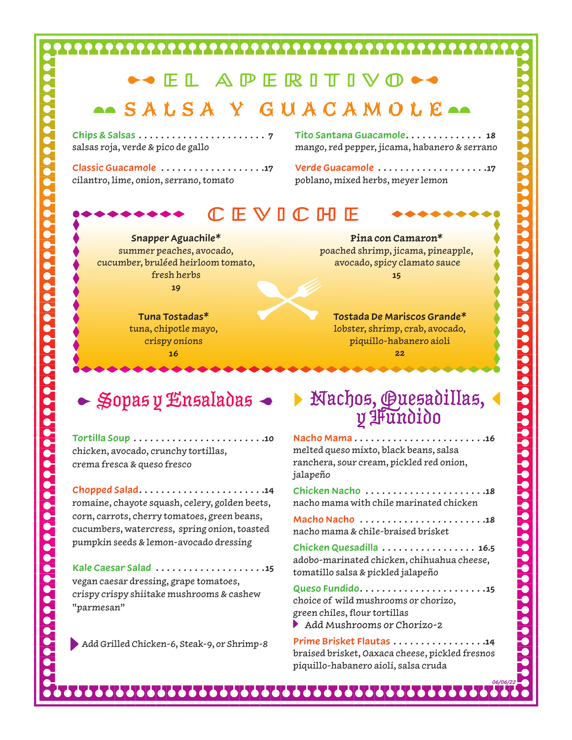### **SEL APERITIVO \*\***

#### ASALSA Y GUACAMOLE

**Chips & Salsas . . . . . . . . . . . . . . . . . . . . . . . 7** salsas roja, verde & pico de gallo

**Classic Guacamole . . . . . . . . . . . . . . . . . . 17** cilantro, lime, onion, serrano, tomato

**Tito Santana Guacamole. .18**  mango, red pepper, jicama, habanero & serrano

**Verde Guacamole . . . . . . . . . . . . . . . . . . . 17** poblano, mixed herbs, meyer lemon

#### CEVICHE

**Snapper Aguachile\*** summer peaches, avocado, cucumber, bruléed heirloom tomato, fresh herbs **19**

> **Tuna Tostadas\*** tuna, chipotle mayo, crispy onions **16**

**Pina con Camaron\*** poached shrimp, jicama, pineapple, avocado, spicy clamato sauce **15**

**Tostada De Mariscos Grande\*** lobster, shrimp, crab, avocado, piquillo-habanero aioli **22**

**Tortilla Soup . . . . . . . . . . . . . . . . . . . . . . . 10**  chicken, avocado, crunchy tortillas, crema fresca & queso fresco

**Chopped Salad. 14**  romaine, chayote squash, celery, golden beets, corn, carrots, cherry tomatoes, green beans, cucumbers, watercress, spring onion, toasted pumpkin seeds & lemon-avocado dressing

**Kale Caesar Salad . . . . . . . . . . . . . . . . . . . 15**  vegan caesar dressing, grape tomatoes, crispy crispy shiitake mushrooms & cashew "parmesan"

Add Grilled Chicken-6, Steak-9, or Shrimp-8

# Nachos, Quesadillas, y Fundido Sopas y Ensaladas

**Nacho Mama. 16**  melted queso mixto, black beans, salsa ranchera, sour cream, pickled red onion, jalapeño

**Chicken Nacho . . . . . . . . . . . . . . . . . . . . . 18** nacho mama with chile marinated chicken

**MachoNacho . . . . . . . . . . . . . . . . . . . . . . 18** nacho mama & chile-braised brisket

**ChickenQuesadilla . . . . . . . . . . . . . . . . . 16.5** adobo-marinated chicken, chihuahua cheese, tomatillo salsa & pickled jalapeño

**Queso Fundido. 15** choice of wild mushrooms or chorizo, green chiles, flour tortillas Add Mushrooms or Chorizo-2

**Prime Brisket Flautas . . . . . . . . . . . . . . . . 14** braised brisket, Oaxaca cheese, pickled fresnos piquillo-habanero aioli, salsa cruda

*06/06/22*